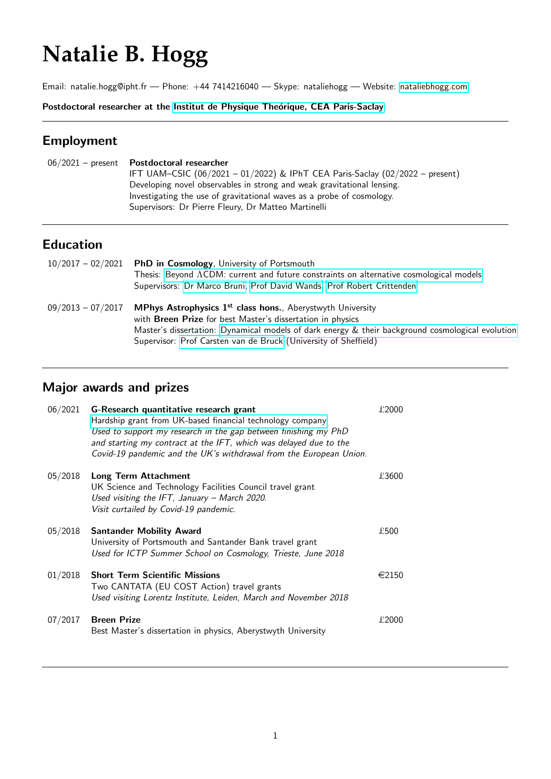# **Natalie B. Hogg**

Email: natalie.hogg@ipht.fr — Phone: +44 7414216040 — Skype: nataliehogg — Website: [nataliebhogg.com](www.nataliebhogg.com)

Postdoctoral researcher at the Institut de Physique Theórique, CEA Paris-Saclay

# Employment

| $06/2021$ – present Postdoctoral researcher                                  |  |
|------------------------------------------------------------------------------|--|
| IFT UAM-CSIC (06/2021 - 01/2022) & IPhT CEA Paris-Saclay (02/2022 - present) |  |
| Developing novel observables in strong and weak gravitational lensing.       |  |
| Investigating the use of gravitational waves as a probe of cosmology.        |  |
| Supervisors: Dr Pierre Fleury, Dr Matteo Martinelli                          |  |
|                                                                              |  |

# Education

|                     | $10/2017 - 02/2021$ PhD in Cosmology, University of Portsmouth                                   |
|---------------------|--------------------------------------------------------------------------------------------------|
|                     | Thesis: Beyond ACDM: current and future constraints on alternative cosmological models           |
|                     | Supervisors: Dr Marco Bruni, Prof David Wands, Prof Robert Crittenden                            |
| $09/2013 - 07/2017$ | MPhys Astrophysics 1 <sup>st</sup> class hons., Aberystwyth University                           |
|                     | with <b>Breen Prize</b> for best Master's dissertation in physics                                |
|                     | Master's dissertation: Dynamical models of dark energy & their background cosmological evolution |
|                     | Supervisor: Prof Carsten van de Bruck (University of Sheffield)                                  |

# Major awards and prizes

| 06/2021 | G-Research quantitative research grant<br>Hardship grant from UK-based financial technology company<br>Used to support my research in the gap between finishing my PhD<br>and starting my contract at the IFT, which was delayed due to the<br>Covid-19 pandemic and the UK's withdrawal from the European Union. | £2000           |
|---------|-------------------------------------------------------------------------------------------------------------------------------------------------------------------------------------------------------------------------------------------------------------------------------------------------------------------|-----------------|
| 05/2018 | Long Term Attachment<br>UK Science and Technology Facilities Council travel grant<br>Used visiting the IFT, January $-$ March 2020.<br>Visit curtailed by Covid-19 pandemic.                                                                                                                                      | £3600           |
| 05/2018 | <b>Santander Mobility Award</b><br>University of Portsmouth and Santander Bank travel grant<br>Used for ICTP Summer School on Cosmology, Trieste, June 2018                                                                                                                                                       | £500            |
| 01/2018 | <b>Short Term Scientific Missions</b><br>Two CANTATA (EU COST Action) travel grants<br>Used visiting Lorentz Institute, Leiden, March and November 2018                                                                                                                                                           | $\epsilon$ 2150 |
| 07/2017 | <b>Breen Prize</b><br>Best Master's dissertation in physics, Aberystwyth University                                                                                                                                                                                                                               | £2000           |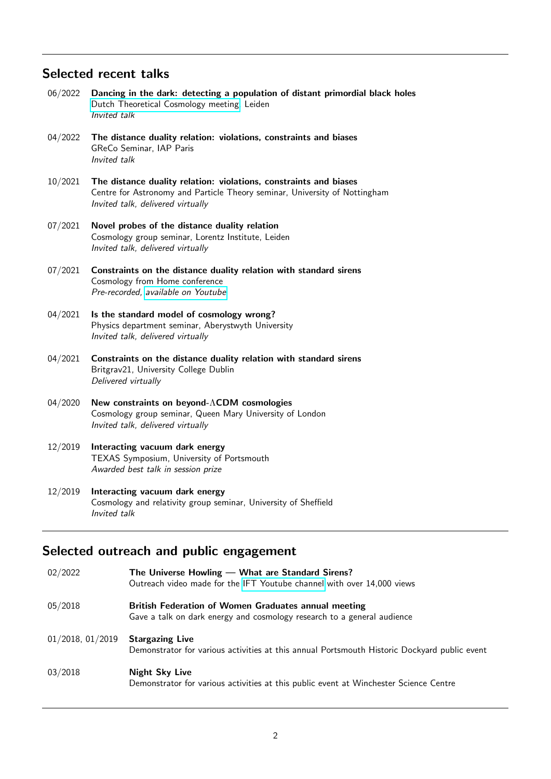## Selected recent talks

- 06/2022 Dancing in the dark: detecting a population of distant primordial black holes [Dutch Theoretical Cosmology meeting,](http://cosmology.nl/event/leiden-spring-2022/) Leiden Invited talk
- 04/2022 The distance duality relation: violations, constraints and biases GReCo Seminar, IAP Paris Invited talk
- 10/2021 The distance duality relation: violations, constraints and biases Centre for Astronomy and Particle Theory seminar, University of Nottingham Invited talk, delivered virtually
- 07/2021 Novel probes of the distance duality relation Cosmology group seminar, Lorentz Institute, Leiden Invited talk, delivered virtually
- 07/2021 Constraints on the distance duality relation with standard sirens Cosmology from Home conference Pre-recorded, [available on Youtube](https://www.youtube.com/watch?v=fqtZTJjgotQ)
- 04/2021 Is the standard model of cosmology wrong? Physics department seminar, Aberystwyth University Invited talk, delivered virtually
- 04/2021 Constraints on the distance duality relation with standard sirens Britgrav21, University College Dublin Delivered virtually
- 04/2020 New constraints on beyond-ΛCDM cosmologies Cosmology group seminar, Queen Mary University of London Invited talk, delivered virtually
- 12/2019 Interacting vacuum dark energy TEXAS Symposium, University of Portsmouth Awarded best talk in session prize

#### 12/2019 Interacting vacuum dark energy Cosmology and relativity group seminar, University of Sheffield Invited talk

## Selected outreach and public engagement

| 02/2022          | The Universe Howling — What are Standard Sirens?<br>Outreach video made for the IFT Youtube channel with over 14,000 views             |
|------------------|----------------------------------------------------------------------------------------------------------------------------------------|
| 05/2018          | <b>British Federation of Women Graduates annual meeting</b><br>Gave a talk on dark energy and cosmology research to a general audience |
| 01/2018, 01/2019 | <b>Stargazing Live</b><br>Demonstrator for various activities at this annual Portsmouth Historic Dockyard public event                 |
| 03/2018          | <b>Night Sky Live</b><br>Demonstrator for various activities at this public event at Winchester Science Centre                         |